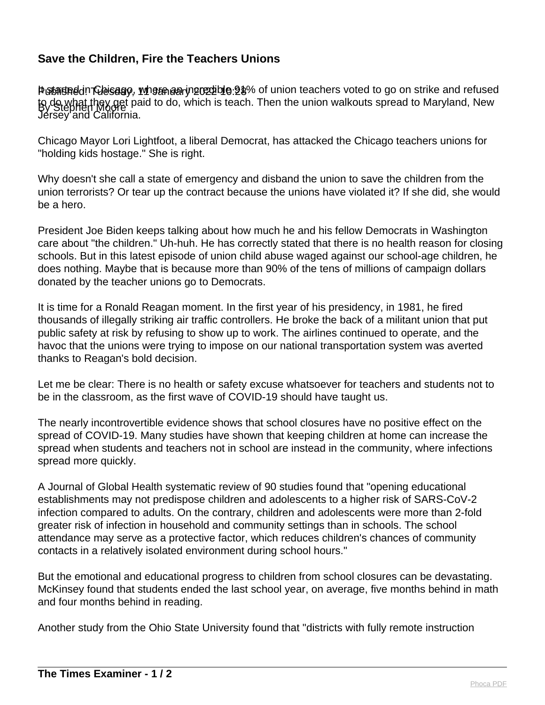## **Save the Children, Fire the Teachers Unions**

Petarteddn Chicago, where an incredible 91% of union teachers voted to go on strike and refused to do what they get paid to do, which is teach. Then the union walkouts spread to Maryland, New<br>By Stephen Moore Jersey and California.

Chicago Mayor Lori Lightfoot, a liberal Democrat, has attacked the Chicago teachers unions for "holding kids hostage." She is right.

Why doesn't she call a state of emergency and disband the union to save the children from the union terrorists? Or tear up the contract because the unions have violated it? If she did, she would be a hero.

President Joe Biden keeps talking about how much he and his fellow Democrats in Washington care about "the children." Uh-huh. He has correctly stated that there is no health reason for closing schools. But in this latest episode of union child abuse waged against our school-age children, he does nothing. Maybe that is because more than 90% of the tens of millions of campaign dollars donated by the teacher unions go to Democrats.

It is time for a Ronald Reagan moment. In the first year of his presidency, in 1981, he fired thousands of illegally striking air traffic controllers. He broke the back of a militant union that put public safety at risk by refusing to show up to work. The airlines continued to operate, and the havoc that the unions were trying to impose on our national transportation system was averted thanks to Reagan's bold decision.

Let me be clear: There is no health or safety excuse whatsoever for teachers and students not to be in the classroom, as the first wave of COVID-19 should have taught us.

The nearly incontrovertible evidence shows that school closures have no positive effect on the spread of COVID-19. Many studies have shown that keeping children at home can increase the spread when students and teachers not in school are instead in the community, where infections spread more quickly.

A Journal of Global Health systematic review of 90 studies found that "opening educational establishments may not predispose children and adolescents to a higher risk of SARS-CoV-2 infection compared to adults. On the contrary, children and adolescents were more than 2-fold greater risk of infection in household and community settings than in schools. The school attendance may serve as a protective factor, which reduces children's chances of community contacts in a relatively isolated environment during school hours."

But the emotional and educational progress to children from school closures can be devastating. McKinsey found that students ended the last school year, on average, five months behind in math and four months behind in reading.

Another study from the Ohio State University found that "districts with fully remote instruction